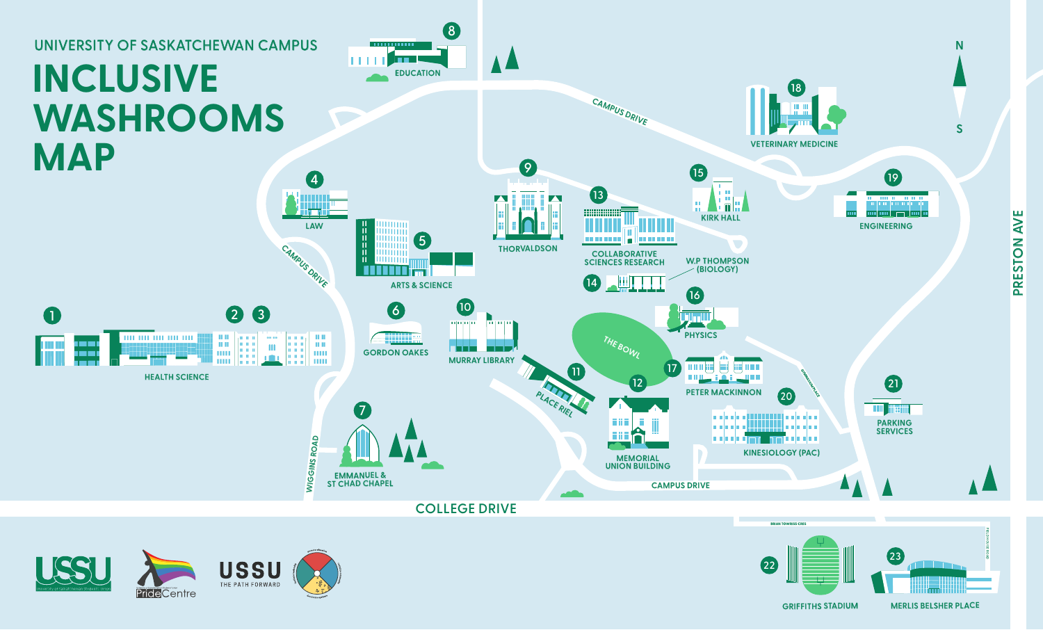